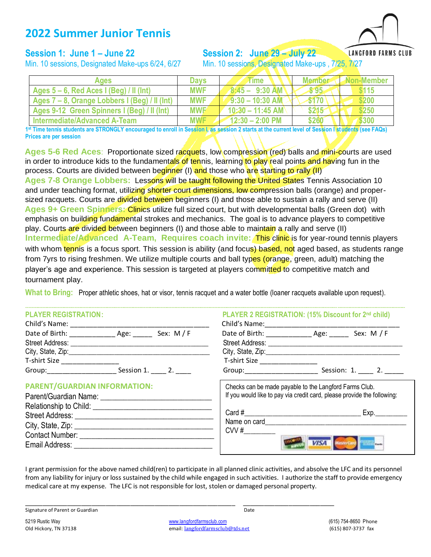# **2022 Summer Junior Tennis**

### **Session 1: June 1 – June 22 Session 2: June 29 – July 22**

**LANGFORD FARMS CLUB** 

Min. 10 sessions, Designated Make-ups 6/24, 6/27 Min. 10 sessions, Designate

|  |  | Min. 10 sessions, Designated Make-ups , 7/25, 7/27 |  |  |
|--|--|----------------------------------------------------|--|--|
|--|--|----------------------------------------------------|--|--|

| Ages                                          | <b>Davs</b> | <b>rime</b>               | <b>Member</b> | Non-Member |
|-----------------------------------------------|-------------|---------------------------|---------------|------------|
| Ages $5 - 6$ , Red Aces I (Beg) / II (Int)    | <b>MWF</b>  | $8:45 - 9:30$ AM          | \$95          | \$115      |
| Ages 7 – 8, Orange Lobbers I (Beg) / II (Int) | <b>MWF</b>  | $-9:30 - 10:30$ AM        | \$170         | \$200      |
| Ages 9-12 Green Spinners I (Beg) / II (Int)   | <b>MWF</b>  | $10:30 - 11:45$ AM        | \$215         | \$250      |
| Intermediate/Advanced A-Team                  | <b>MWF</b>  | $12:30 - 2:00 \text{ PM}$ | \$260         | <b>300</b> |

**1 st Time tennis students are STRONGLY encouraged to enroll in Session I, as session 2 starts at the current level of Session I students (see FAQs) Prices are per session**

**Ages 5-6 Red Aces**: Proportionate sized racquets, low compression (red) balls and mini-courts are used in order to introduce kids to the fundamentals of tennis, learning to play real points and having fun in the process. Courts are divided between beginner (I) and those who are starting to rally (II)

**Ages 7-8 Orange Lobbers:**Lessons will be taught following the United States Tennis Association 10 and under teaching format, utilizing shorter court dimensions, low compression balls (orange) and propersized racquets. Courts are divided between beginners (I) and those able to sustain a rally and serve (II) **Ages 9+ Green Spinners:** Clinics utilize full sized court, but with developmental balls (Green dot) with emphasis on building fundamental strokes and mechanics. The goal is to advance players to competitive play. Courts are divided between beginners (I) and those able to maintain a rally and serve (II) **Intermediate/Advanced A-Team, Requires coach invite: This clinic is for year-round tennis players** with whom tennis is a focus sport. This session is ability (and focus) based, not aged based, as students range from 7yrs to rising freshmen. We utilize multiple courts and ball types (orange, green, adult) matching the player's age and experience. This session is targeted at players committed to competitive match and tournament play.

**What to Bring:** Proper athletic shoes, hat or visor, tennis racquet and a water bottle (loaner racquets available upon request).

-------------------------------------------------------------------------------------------------------------------------------------------------------------------------------------------------------------------------------------------------------

#### **PLAYER REGISTRATION: PLAYER 2 REGISTRATION: (15% Discount for 2nd child)**

| Child's Name:     |                    | Child's Name:          |                      |
|-------------------|--------------------|------------------------|----------------------|
| Date of Birth:    | Sex: $M/F$<br>Age: | Date of Birth:         | Sex: $M / F$<br>Age: |
| Street Address:   |                    | <b>Street Address:</b> |                      |
| City, State, Zip: |                    | City, State, Zip:      |                      |
| T-shirt Size      |                    | T-shirt Size           |                      |
| Group:            | Session 1.         | Group:                 | Session: 1.          |

#### **PARENT/GUARDIAN INFORMATION:**

| Parent/Guardian Name:                          |
|------------------------------------------------|
| Relationship to Child: Nellationship to Child: |
| Street Address: Street Address:                |
| City, State, Zip: $\frac{1}{2}$                |
| Contact Number: _____                          |
| Email Address:                                 |

| FLATLIN NEGIOTINATION.<br>Child's Name: ________________ |                        | Child's Name: ________________                                                                                                                                                                                                | <b>FLATER 4 REGIOTRATION. (1970 DISCOUTE TOT 2<sup>11</sup> GITTAJ</b>  |
|----------------------------------------------------------|------------------------|-------------------------------------------------------------------------------------------------------------------------------------------------------------------------------------------------------------------------------|-------------------------------------------------------------------------|
|                                                          |                        |                                                                                                                                                                                                                               |                                                                         |
|                                                          |                        |                                                                                                                                                                                                                               |                                                                         |
| T-shirt Size _____________                               |                        | T-shirt Size ___________                                                                                                                                                                                                      |                                                                         |
| Group:______________                                     | Session 1. $\qquad 2.$ | Group: Carried Contract Contract Contract Contract Contract Contract Contract Contract Contract Contract Contract Contract Contract Contract Contract Contract Contract Contract Contract Contract Contract Contract Contract | Session: 1. 2.                                                          |
| <b>PARENT/GUARDIAN INFORMATION:</b>                      |                        |                                                                                                                                                                                                                               | Checks can be made payable to the Langford Farms Club.                  |
| Parent/Guardian Name:                                    |                        |                                                                                                                                                                                                                               | If you would like to pay via credit card, please provide the following: |

| Card #               | Exp |
|----------------------|-----|
| Name on card<br>CVV# |     |
|                      |     |

I grant permission for the above named child(ren) to participate in all planned clinic activities, and absolve the LFC and its personnel from any liability for injury or loss sustained by the child while engaged in such activities. I authorize the staff to provide emergency medical care at my expense. The LFC is not responsible for lost, stolen or damaged personal property.

\_\_\_\_\_\_\_\_\_\_\_\_\_\_\_\_\_\_\_\_\_\_\_\_\_\_\_\_\_\_\_\_\_\_\_\_\_\_\_\_\_\_\_\_\_\_\_\_\_\_\_\_\_\_\_\_\_\_\_\_ \_\_\_\_\_\_\_\_\_\_\_\_\_\_\_\_\_\_\_\_\_\_\_\_\_\_ Signature of Parent or Guardian Date of Parent or Guardian Date of Parent or Guardian Date of Date of Date of Date of Date of Date of Date of Date of Date of Date of Date of Date of Date of Date of Date of Date of Date of

5219 Rustic Way [www.langfordfarmsclub.com](http://www.langfordfarmsclub.com/) (615) 754-8650 Phone Old Hickory, TN 37138 **Example 2018 Example 2018 email:** [langfordfarmsclub@tds.net](mailto:langfordfarmsclub@tds.net) (615) 807-3737 fax